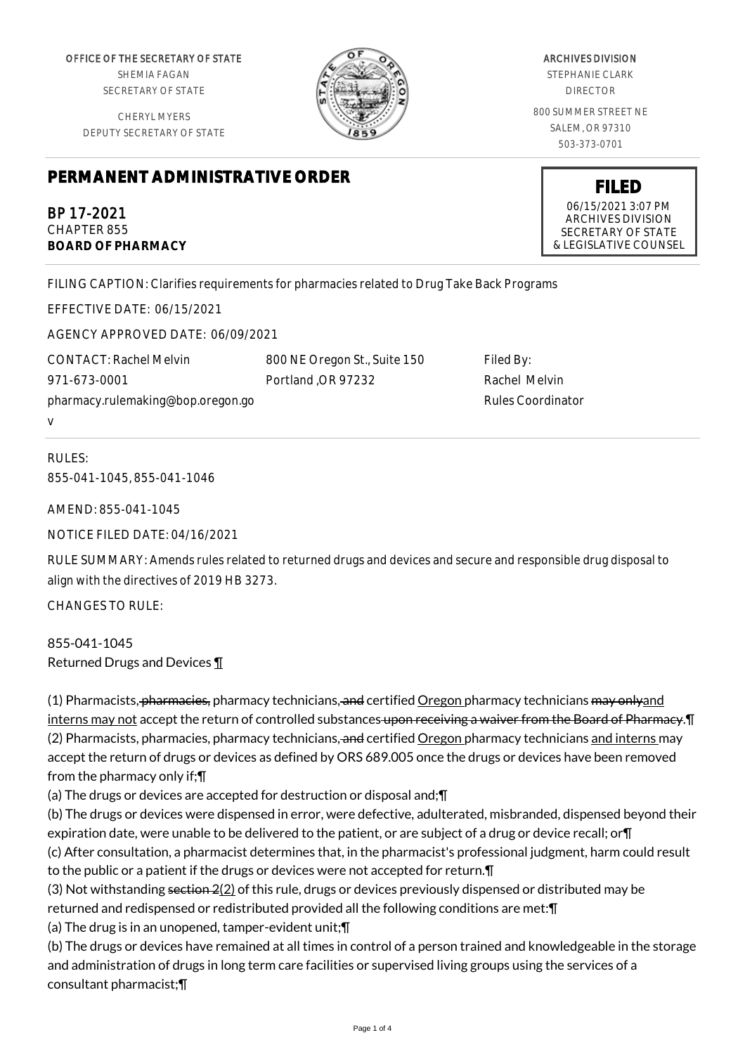OFFICE OF THE SECRETARY OF STATE SHEMIA FAGAN

SECRETARY OF STATE

CHERYL MYERS DEPUTY SECRETARY OF STATE



ARCHIVES DIVISION STEPHANIE CLARK DIRECTOR 800 SUMMER STREET NE SALEM, OR 97310 503-373-0701

Filed By:

Rachel Melvin Rules Coordinator

## **PERMANENT ADMINISTRATIVE ORDER**

BP 17-2021 CHAPTER 855 **BOARD OF PHARMACY**

FILING CAPTION: Clarifies requirements for pharmacies related to Drug Take Back Programs

EFFECTIVE DATE: 06/15/2021

AGENCY APPROVED DATE: 06/09/2021

CONTACT: Rachel Melvin 971-673-0001 pharmacy.rulemaking@bop.oregon.go v

RULES: 855-041-1045, 855-041-1046

AMEND: 855-041-1045

NOTICE FILED DATE: 04/16/2021

RULE SUMMARY: Amends rules related to returned drugs and devices and secure and responsible drug disposal to align with the directives of 2019 HB 3273.

800 NE Oregon St., Suite 150

Portland ,OR 97232

CHANGES TO RULE:

855-041-1045 Returned Drugs and Devices ¶

(1) Pharmacists, pharmacies, pharmacy technicians, and certified Oregon pharmacy technicians may onlyand interns may not accept the return of controlled substances upon receiving a waiver from the Board of Pharmacy. I (2) Pharmacists, pharmacies, pharmacy technicians, and certified Oregon pharmacy technicians and interns may accept the return of drugs or devices as defined by ORS 689.005 once the drugs or devices have been removed from the pharmacy only if;¶

(a) The drugs or devices are accepted for destruction or disposal and;¶

(b) The drugs or devices were dispensed in error, were defective, adulterated, misbranded, dispensed beyond their expiration date, were unable to be delivered to the patient, or are subject of a drug or device recall; or¶ (c) After consultation, a pharmacist determines that, in the pharmacist's professional judgment, harm could result to the public or a patient if the drugs or devices were not accepted for return.¶

(3) Not withstanding section  $2(2)$  of this rule, drugs or devices previously dispensed or distributed may be returned and redispensed or redistributed provided all the following conditions are met:¶

(a) The drug is in an unopened, tamper-evident unit;¶

(b) The drugs or devices have remained at all times in control of a person trained and knowledgeable in the storage and administration of drugs in long term care facilities or supervised living groups using the services of a consultant pharmacist;¶

**FILED**

06/15/2021 3:07 PM ARCHIVES DIVISION SECRETARY OF STATE & LEGISLATIVE COUNSEL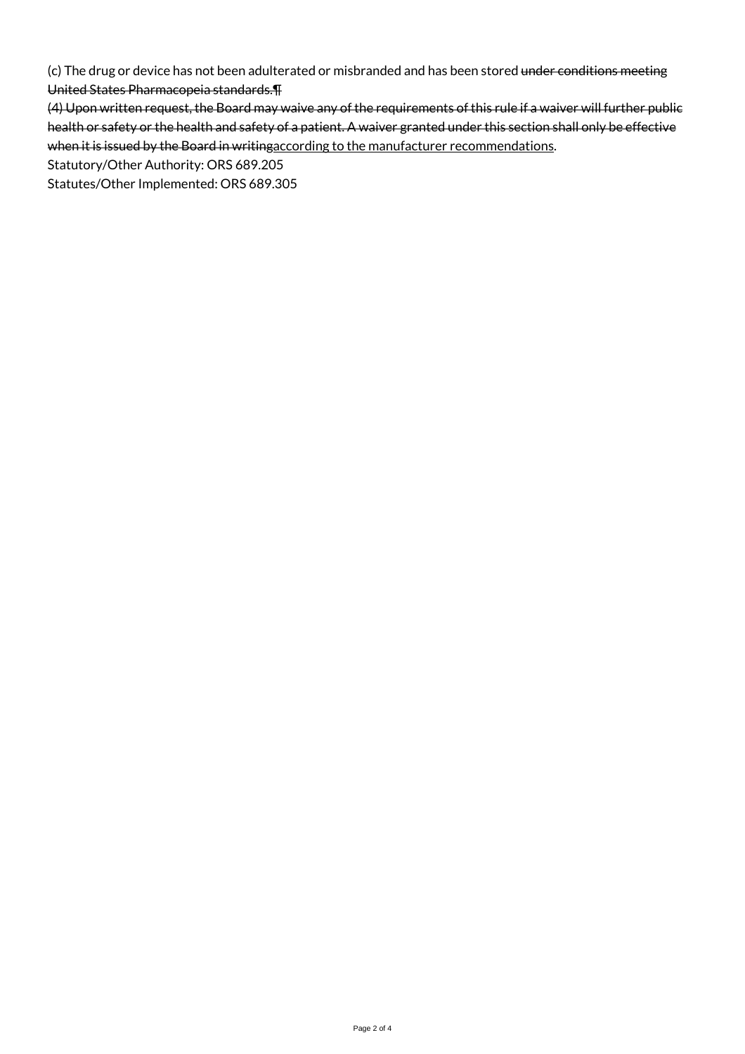(c) The drug or device has not been adulterated or misbranded and has been stored under conditions meeting United States Pharmacopeia standards.¶

(4) Upon written request, the Board may waive any of the requirements of this rule if a waiver will further public health or safety or the health and safety of a patient. A waiver granted under this section shall only be effective when it is issued by the Board in writingaccording to the manufacturer recommendations.

Statutory/Other Authority: ORS 689.205

Statutes/Other Implemented: ORS 689.305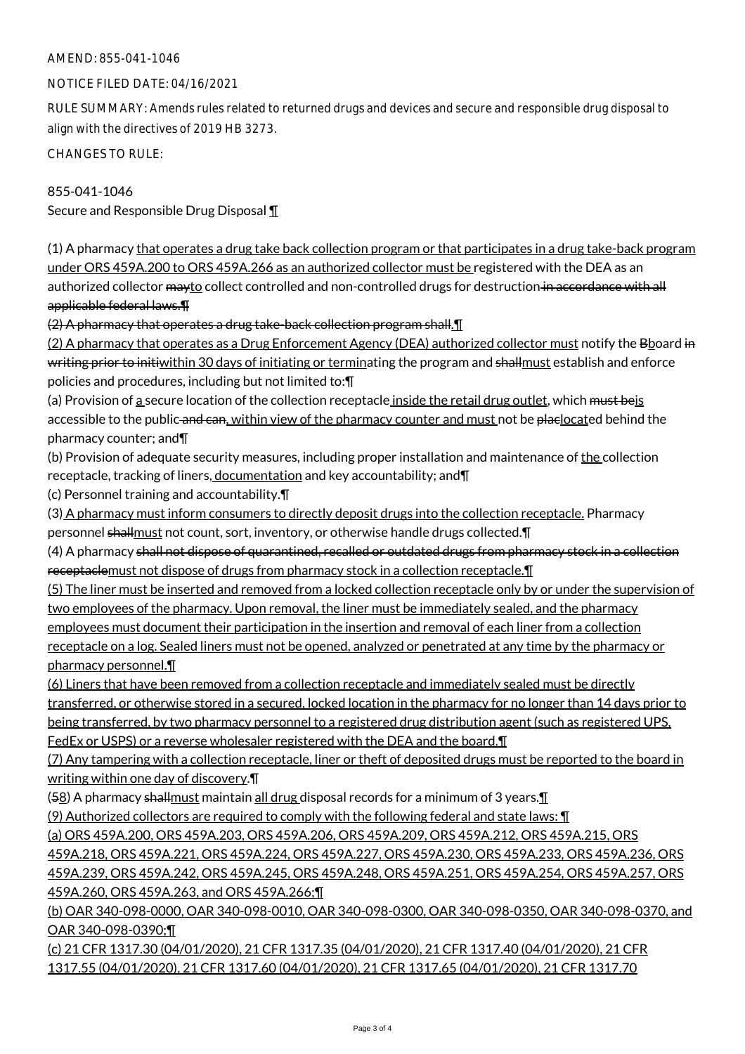## AMEND: 855-041-1046

## NOTICE FILED DATE: 04/16/2021

RULE SUMMARY: Amends rules related to returned drugs and devices and secure and responsible drug disposal to align with the directives of 2019 HB 3273.

CHANGES TO RULE:

855-041-1046 Secure and Responsible Drug Disposal ¶

(1) A pharmacy that operates a drug take back collection program or that participates in a drug take-back program under ORS 459A.200 to ORS 459A.266 as an authorized collector must be registered with the DEA as an authorized collector mayto collect controlled and non-controlled drugs for destruction in accordance with all applicable federal laws.¶

(2) A pharmacy that operates a drug take-back collection program shall.¶

(2) A pharmacy that operates as a Drug Enforcement Agency (DEA) authorized collector must notify the Bboard in writing prior to initiwithin 30 days of initiating or terminating the program and shallmust establish and enforce policies and procedures, including but not limited to:¶

(a) Provision of a secure location of the collection receptacle inside the retail drug outlet, which must beis accessible to the public and can, within view of the pharmacy counter and must not be placlocated behind the pharmacy counter; and¶

(b) Provision of adequate security measures, including proper installation and maintenance of the collection receptacle, tracking of liners, documentation and key accountability; and \[

(c) Personnel training and accountability.¶

(3) A pharmacy must inform consumers to directly deposit drugs into the collection receptacle. Pharmacy personnel shallmust not count, sort, inventory, or otherwise handle drugs collected.  $\P$ 

(4) A pharmacy shall not dispose of quarantined, recalled or outdated drugs from pharmacy stock in a collection receptaclemust not dispose of drugs from pharmacy stock in a collection receptacle.¶

(5) The liner must be inserted and removed from a locked collection receptacle only by or under the supervision of two employees of the pharmacy. Upon removal, the liner must be immediately sealed, and the pharmacy employees must document their participation in the insertion and removal of each liner from a collection receptacle on a log. Sealed liners must not be opened, analyzed or penetrated at any time by the pharmacy or pharmacy personnel.¶

(6) Liners that have been removed from a collection receptacle and immediately sealed must be directly transferred, or otherwise stored in a secured, locked location in the pharmacy for no longer than 14 days prior to being transferred, by two pharmacy personnel to a registered drug distribution agent (such as registered UPS, FedEx or USPS) or a reverse wholesaler registered with the DEA and the board.¶

(7) Any tampering with a collection receptacle, liner or theft of deposited drugs must be reported to the board in writing within one day of discovery.¶

 $(58)$  A pharmacy shall must maintain all drug disposal records for a minimum of 3 years.

(9) Authorized collectors are required to comply with the following federal and state laws: ¶

(a) ORS 459A.200, ORS 459A.203, ORS 459A.206, ORS 459A.209, ORS 459A.212, ORS 459A.215, ORS

459A.218, ORS 459A.221, ORS 459A.224, ORS 459A.227, ORS 459A.230, ORS 459A.233, ORS 459A.236, ORS 459A.239, ORS 459A.242, ORS 459A.245, ORS 459A.248, ORS 459A.251, ORS 459A.254, ORS 459A.257, ORS 459A.260, ORS 459A.263, and ORS 459A.266;¶

(b) OAR 340-098-0000, OAR 340-098-0010, OAR 340-098-0300, OAR 340-098-0350, OAR 340-098-0370, and OAR 340-098-0390;¶

(c) 21 CFR 1317.30 (04/01/2020), 21 CFR 1317.35 (04/01/2020), 21 CFR 1317.40 (04/01/2020), 21 CFR 1317.55 (04/01/2020), 21 CFR 1317.60 (04/01/2020), 21 CFR 1317.65 (04/01/2020), 21 CFR 1317.70